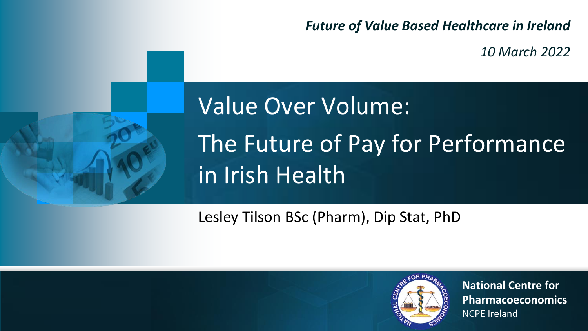*Future of Value Based Healthcare in Ireland*

*10 March 2022*



### Value Over Volume: The Future of Pay for Performance in Irish Health

Lesley Tilson BSc (Pharm), Dip Stat, PhD



**National Centre for Pharmacoeconomics** NCPE Ireland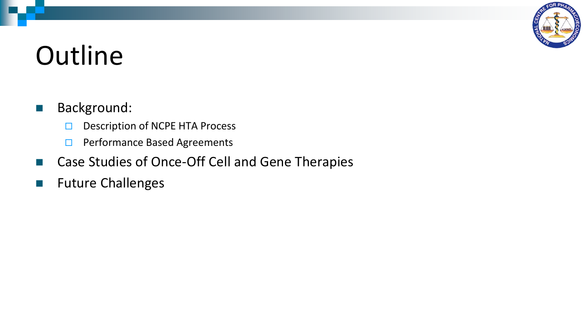

### **Outline**

### ■ Background:

- $\Box$  Description of NCPE HTA Process
- □ Performance Based Agreements
- Case Studies of Once-Off Cell and Gene Therapies
- Future Challenges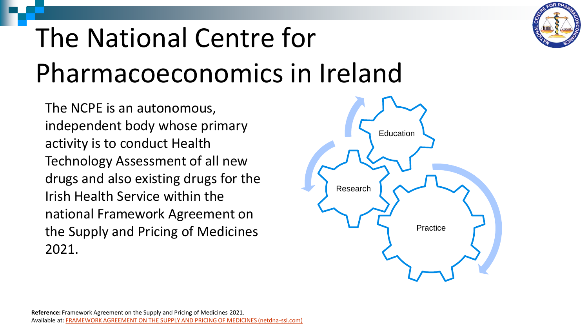# The National Centre for Pharmacoeconomics in Ireland

The NCPE is an autonomous, independent body whose primary activity is to conduct Health Technology Assessment of all new drugs and also existing drugs for the Irish Health Service within the national Framework Agreement on the Supply and Pricing of Medicines 2021.



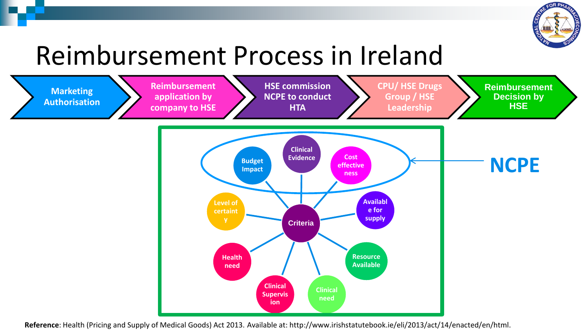

### Reimbursement Process in Ireland



**Reference**: Health (Pricing and Supply of Medical Goods) Act 2013. Available at: http://www.irishstatutebook.ie/eli/2013/act/14/enacted/en/html.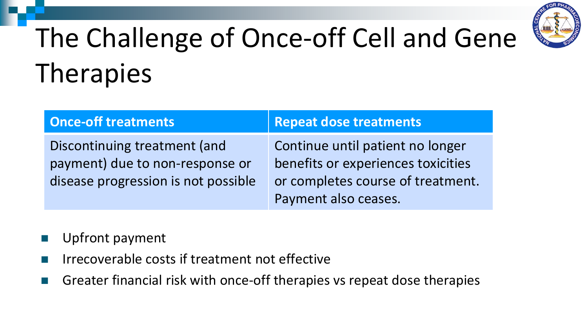

# The Challenge of Once-off Cell and Gene **Therapies**

| <b>Once-off treatments</b>          | <b>Repeat dose treatments</b>      |
|-------------------------------------|------------------------------------|
| Discontinuing treatment (and        | Continue until patient no longer   |
| payment) due to non-response or     | benefits or experiences toxicities |
| disease progression is not possible | or completes course of treatment.  |
|                                     | Payment also ceases.               |

- Upfront payment
- Irrecoverable costs if treatment not effective
- Greater financial risk with once-off therapies vs repeat dose therapies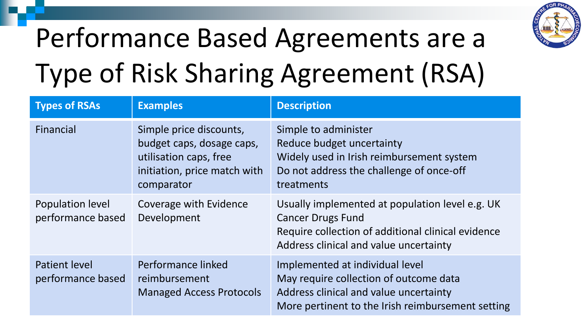

# Performance Based Agreements are a Type of Risk Sharing Agreement (RSA)

| <b>Types of RSAs</b>                      | <b>Examples</b>                                                                                                              | <b>Description</b>                                                                                                                                                          |
|-------------------------------------------|------------------------------------------------------------------------------------------------------------------------------|-----------------------------------------------------------------------------------------------------------------------------------------------------------------------------|
| Financial                                 | Simple price discounts,<br>budget caps, dosage caps,<br>utilisation caps, free<br>initiation, price match with<br>comparator | Simple to administer<br>Reduce budget uncertainty<br>Widely used in Irish reimbursement system<br>Do not address the challenge of once-off<br>treatments                    |
| Population level<br>performance based     | Coverage with Evidence<br>Development                                                                                        | Usually implemented at population level e.g. UK<br><b>Cancer Drugs Fund</b><br>Require collection of additional clinical evidence<br>Address clinical and value uncertainty |
| <b>Patient level</b><br>performance based | Performance linked<br>reimbursement<br><b>Managed Access Protocols</b>                                                       | Implemented at individual level<br>May require collection of outcome data<br>Address clinical and value uncertainty<br>More pertinent to the Irish reimbursement setting    |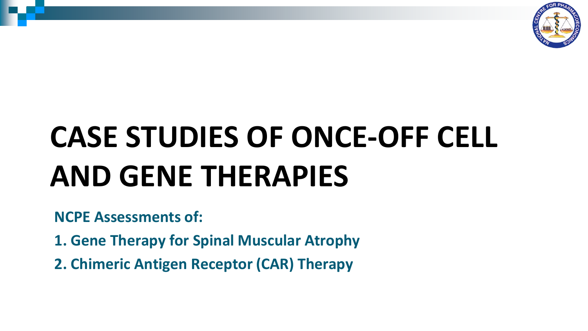

# **CASE STUDIES OF ONCE-OFF CELL AND GENE THERAPIES**

**NCPE Assessments of:**

- **1. Gene Therapy for Spinal Muscular Atrophy**
- **2. Chimeric Antigen Receptor (CAR) Therapy**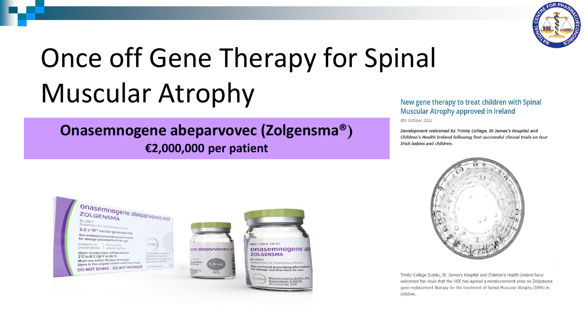

### Once off Gene Therapy for Spinal Muscular Atrophy

### **Onasemnogene abeparvovec (Zolgensma®) €2,000,000 per patient**

#### New gene therapy to treat children with Spinal Muscular Atrophy approved in Ireland

8th October 2021

Development welcomed by Trinity College, St James's Hospital and Children's Health Ireland following first successful clinical trials on four **Trish babies and children.** 







Trinity College Dublin, St. James's Hospital and Children's Health Ireland have welcomed the news that the HSE has agreed a reimbursement price on Zolgensma gene replacement therapy for the treatment of Spinal Muscular Atrophy (SMA) in children.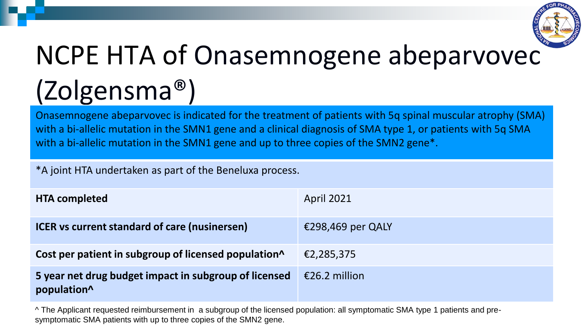

# NCPE HTA of Onasemnogene abeparvovec (Zolgensma®)

Onasemnogene abeparvovec is indicated for the treatment of patients with 5q spinal muscular atrophy (SMA) with a bi-allelic mutation in the SMN1 gene and a clinical diagnosis of SMA type 1, or patients with 5q SMA with a bi-allelic mutation in the SMN1 gene and up to three copies of the SMN2 gene<sup>\*</sup>.

\*A joint HTA undertaken as part of the Beneluxa process.

| <b>HTA completed</b>                                                 | <b>April 2021</b> |
|----------------------------------------------------------------------|-------------------|
| <b>ICER</b> vs current standard of care (nusinersen)                 | €298,469 per QALY |
| Cost per patient in subgroup of licensed population <sup>^</sup>     | €2,285,375        |
| 5 year net drug budget impact in subgroup of licensed<br>population^ | €26.2 million     |

^ The Applicant requested reimbursement in a subgroup of the licensed population: all symptomatic SMA type 1 patients and presymptomatic SMA patients with up to three copies of the SMN2 gene.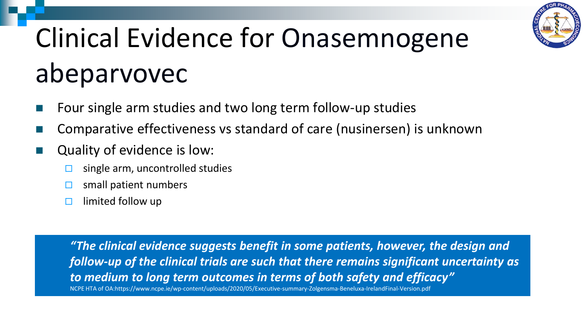

# Clinical Evidence for Onasemnogene abeparvovec

- Four single arm studies and two long term follow-up studies
- ◼ Comparative effectiveness vs standard of care (nusinersen) is unknown
- Quality of evidence is low:
	- single arm, uncontrolled studies
	- small patient numbers
	- $\Box$  limited follow up

*"The clinical evidence suggests benefit in some patients, however, the design and follow-up of the clinical trials are such that there remains significant uncertainty as to medium to long term outcomes in terms of both safety and efficacy"*

NCPE HTA of OA:https://www.ncpe.ie/wp-content/uploads/2020/05/Executive-summary-Zolgensma-Beneluxa-IrelandFinal-Version.pdf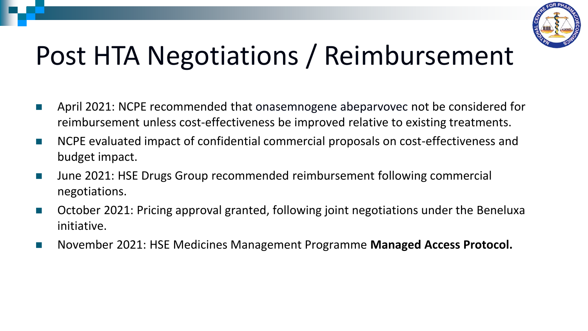

### Post HTA Negotiations / Reimbursement

- April 2021: NCPE recommended that onasemnogene abeparvovec not be considered for reimbursement unless cost-effectiveness be improved relative to existing treatments.
- NCPE evaluated impact of confidential commercial proposals on cost-effectiveness and budget impact.
- June 2021: HSE Drugs Group recommended reimbursement following commercial negotiations.
- October 2021: Pricing approval granted, following joint negotiations under the Beneluxa initiative.
- November 2021: HSE Medicines Management Programme **Managed Access Protocol.**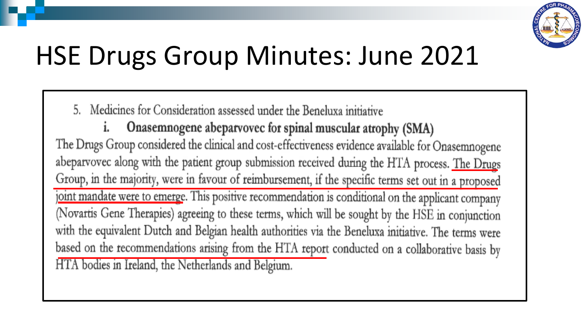

### HSE Drugs Group Minutes: June 2021

5. Medicines for Consideration assessed under the Beneluxa initiative

Onasemnogene abeparvovec for spinal muscular atrophy (SMA) i. The Drugs Group considered the clinical and cost-effectiveness evidence available for Onasemnogene abeparvovec along with the patient group submission received during the HTA process. The Drugs Group, in the majority, were in favour of reimbursement, if the specific terms set out in a proposed joint mandate were to emerge. This positive recommendation is conditional on the applicant company (Novartis Gene Therapies) agreeing to these terms, which will be sought by the HSE in conjunction with the equivalent Dutch and Belgian health authorities via the Beneluxa initiative. The terms were based on the recommendations arising from the HTA report conducted on a collaborative basis by HTA bodies in Ireland, the Netherlands and Belgium.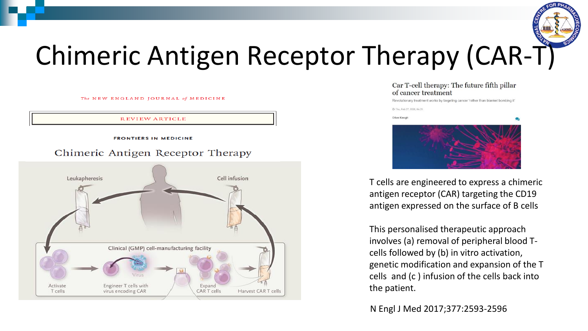

### Chimeric Antigen Receptor Therapy (CAR-T)

The NEW ENGLAND JOURNAL of MEDICINE

**REVIEW ARTICLE** 

**FRONTIERS IN MEDICINE** 

#### Chimeric Antigen Receptor Therapy



#### Car T-cell therapy: The future fifth pillar of cancer treatment

Revolutionary treatment works by targeting cancer 'rather than blanket bombing it'

© Thu, Feb 27, 2020, 04:35 Olive Keogh

T cells are engineered to express a chimeric antigen receptor (CAR) targeting the CD19 antigen expressed on the surface of B cells

This personalised therapeutic approach involves (a) removal of peripheral blood Tcells followed by (b) in vitro activation, genetic modification and expansion of the T cells and (c ) infusion of the cells back into the patient.

### N Engl J Med 2017;377:2593-2596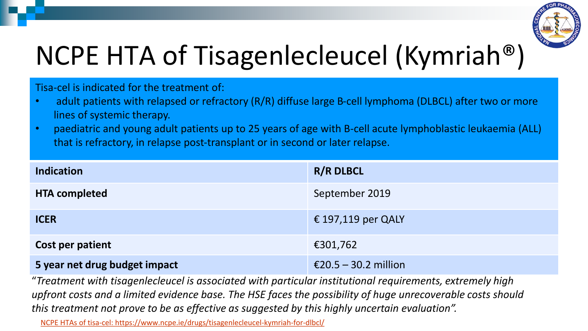

### NCPE HTA of Tisagenlecleucel (Kymriah®)

Tisa-cel is indicated for the treatment of:

- adult patients with relapsed or refractory (R/R) diffuse large B-cell lymphoma (DLBCL) after two or more lines of systemic therapy.
- paediatric and young adult patients up to 25 years of age with B-cell acute lymphoblastic leukaemia (ALL) that is refractory, in relapse post-transplant or in second or later relapse.

| <b>Indication</b>             | <b>R/R DLBCL</b>     |
|-------------------------------|----------------------|
| <b>HTA completed</b>          | September 2019       |
| <b>ICER</b>                   | € 197,119 per QALY   |
| Cost per patient              | €301,762             |
| 5 year net drug budget impact | €20.5 – 30.2 million |

"*Treatment with tisagenlecleucel is associated with particular institutional requirements, extremely high upfront costs and a limited evidence base. The HSE faces the possibility of huge unrecoverable costs should this treatment not prove to be as effective as suggested by this highly uncertain evaluation".*

[NCPE HTAs of tisa-cel: https://www.ncpe.ie/drugs/tisagenlecleucel-kymriah-for-dlbcl/](https://www.ncpe.ie/drugs/tisagenlecleucel-kymriah-for-dlbcl/)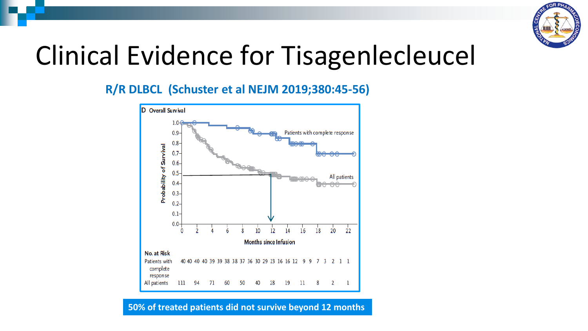

### Clinical Evidence for Tisagenlecleucel

### **R/R DLBCL (Schuster et al NEJM 2019;380:45-56)**



#### **50% of treated patients did not survive beyond 12 months**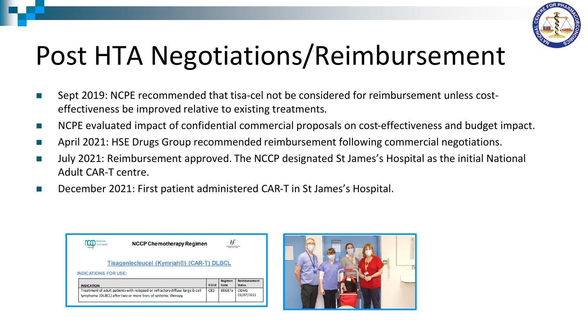

### Post HTA Negotiations/Reimbursement

- Sept 2019: NCPE recommended that tisa-cel not be considered for reimbursement unless costeffectiveness be improved relative to existing treatments.
- NCPE evaluated impact of confidential commercial proposals on cost-effectiveness and budget impact.
- April 2021: HSE Drugs Group recommended reimbursement following commercial negotiations.
- July 2021: Reimbursement approved. The NCCP designated St James's Hospital as the initial National Adult CAR-T centre.
- December 2021: First patient administered CAR-T in St James's Hospital.

| National Cancer                                                          | <b>NCCP Chemotherapy Regimen</b>                                                                                                             |              | ŀF              |                                       |  |  |  |
|--------------------------------------------------------------------------|----------------------------------------------------------------------------------------------------------------------------------------------|--------------|-----------------|---------------------------------------|--|--|--|
| Tisagenlecleucel (Kymriah®) (CAR-T) DLBCL<br><b>INDICATIONS FOR USE:</b> |                                                                                                                                              |              |                 |                                       |  |  |  |
| <b>INDICATION</b>                                                        |                                                                                                                                              | <b>ICD10</b> | Regimen<br>Code | <b>Reimbursement</b><br><b>Status</b> |  |  |  |
|                                                                          | Treatment of adult patients with relapsed or refractory diffuse large B-cell<br>lymphoma (DLBCL) after two or more lines of systemic therapy | C83          | 00687a          | <b>ODMS</b><br>01/07/2021             |  |  |  |

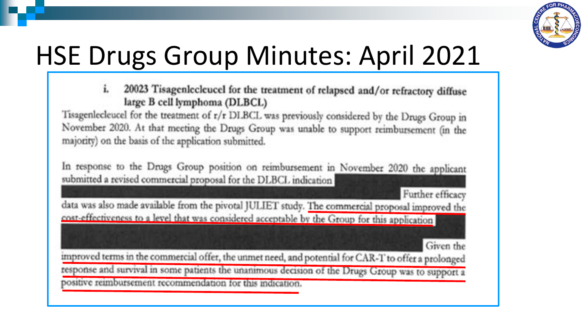

### HSE Drugs Group Minutes: April 2021

20023 Tisagenlecleucel for the treatment of relapsed and/or refractory diffuse i. large B cell lymphoma (DLBCL)

Tisagenlecleucel for the treatment of r/r DLBCL was previously considered by the Drugs Group in November 2020. At that meeting the Drugs Group was unable to support reimbursement (in the majority) on the basis of the application submitted.

In response to the Drugs Group position on reimbursement in November 2020 the applicant submitted a revised commercial proposal for the DLBCL indication

Further efficacy

data was also made available from the pivotal JULIET study. The commercial proposal improved the cost-effectiveness to a level that was considered acceptable by the Group for this application

Given the

improved terms in the commercial offer, the unmet need, and potential for CAR-T to offer a prolonged response and survival in some patients the unanimous decision of the Drugs Group was to support a positive reimbursement recommendation for this indication.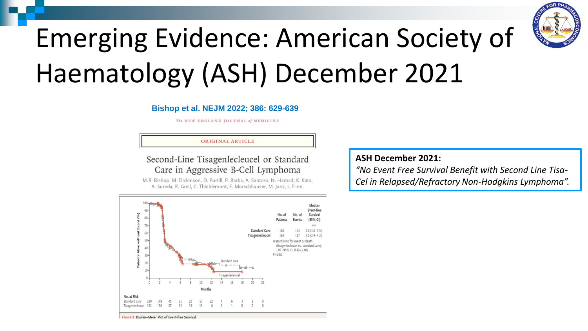

### Emerging Evidence: American Society of Haematology (ASH) December 2021

#### **Bishop et al. NEJM 2022; 386: 629-639**

The NEW ENGLAND JOURNAL of MEDICINE

#### ORIGINAL ARTICLE

Second-Line Tisagenlecleucel or Standard Care in Aggressive B-Cell Lymphoma

M.R. Bishop, M. Dickinson, D. Purtill, P. Barba, A. Santoro, N. Hamad, K. Kato, A. Sureda, R. Greil, C. Thieblemont, F. Morschhauser, M. Janz, I. Flinn,



#### **ASH December 2021:**

*"No Event Free Survival Benefit with Second Line Tisa-Cel in Relapsed/Refractory Non-Hodgkins Lymphoma".*

Figure 2. Kaplan-Meier Plot of Event-free Survival.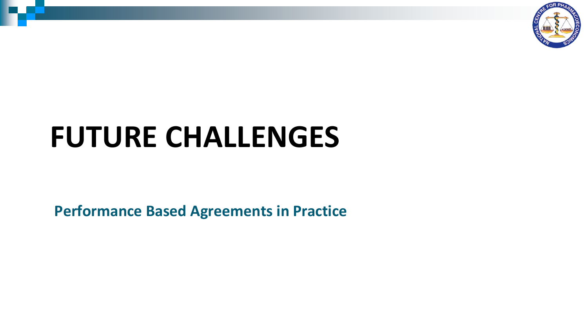

### **FUTURE CHALLENGES**

**Performance Based Agreements in Practice**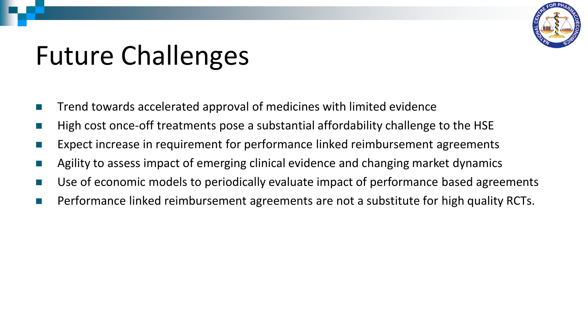

### Future Challenges

- Trend towards accelerated approval of medicines with limited evidence
- High cost once-off treatments pose a substantial affordability challenge to the HSE
- Expect increase in requirement for performance linked reimbursement agreements
- Agility to assess impact of emerging clinical evidence and changing market dynamics
- Use of economic models to periodically evaluate impact of performance based agreements
- Performance linked reimbursement agreements are not a substitute for high quality RCTs.